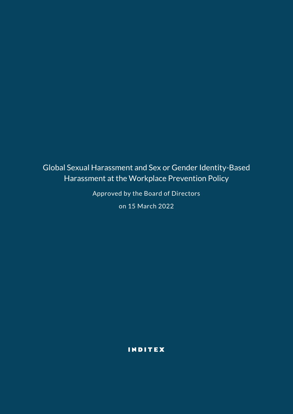# Global Sexual Harassment and Sex or Gender Identity-Based Harassment at the Workplace Prevention Policy

Approved by the Board of Directors

on 15 March 2022

INDITEX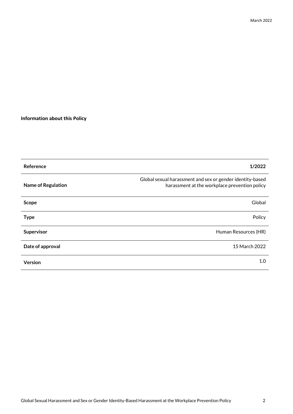# **Information about this Policy**

| Reference                 | 1/2022                                                                                                     |
|---------------------------|------------------------------------------------------------------------------------------------------------|
| <b>Name of Regulation</b> | Global sexual harassment and sex or gender identity-based<br>harassment at the workplace prevention policy |
| <b>Scope</b>              | Global                                                                                                     |
| <b>Type</b>               | Policy                                                                                                     |
| Supervisor                | Human Resources (HR)                                                                                       |
| Date of approval          | 15 March 2022                                                                                              |
| Version                   | 1.0                                                                                                        |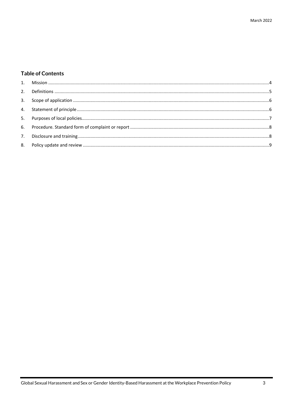# **Table of Contents**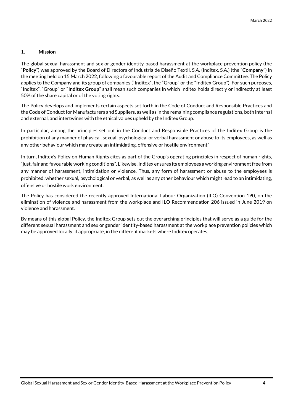# <span id="page-3-0"></span>**1. Mission**

The global sexual harassment and sex or gender identity-based harassment at the workplace prevention policy (the "**Policy**") was approved by the Board of Directors of Industria de Diseño Textil, S.A. (Inditex, S.A.) (the "**Company**") in the meeting held on 15 March 2022, following a favourable report of the Audit and Compliance Committee. The Policy applies to the Company and its group of companies ("Inditex", the "Group" or the "Inditex Group"). For such purposes, "Inditex", "Group" or "**Inditex Group**" shall mean such companies in which Inditex holds directly or indirectly at least 50% of the share capital or of the voting rights.

The Policy develops and implements certain aspects set forth in the Code of Conduct and Responsible Practices and the Code of Conduct for Manufacturers and Suppliers, as well as in the remaining compliance regulations, both internal and external, and intertwines with the ethical values upheld by the Inditex Group.

In particular, among the principles set out in the Conduct and Responsible Practices of the Inditex Group is the prohibition of any manner of physical, sexual, psychological or verbal harassment or abuse to its employees, as well as any other behaviour which may create an intimidating, offensive or hostile environment*"*

In turn, Inditex's Policy on Human Rights cites as part of the Group's operating principles in respect of human rights, "just, fair and favourable working conditions". Likewise, Inditex ensures its employees a working environment free from any manner of harassment, intimidation or violence. Thus, any form of harassment or abuse to the employees is prohibited, whether sexual, psychological or verbal, as well as any other behaviour which might lead to an intimidating, offensive or hostile work environment.

The Policy has considered the recently approved International Labour Organization (ILO) Convention 190, on the elimination of violence and harassment from the workplace and ILO Recommendation 206 issued in June 2019 on violence and harassment.

By means of this global Policy, the Inditex Group sets out the overarching principles that will serve as a guide for the different sexual harassment and sex or gender identity-based harassment at the workplace prevention policies which may be approved locally, if appropriate, in the different markets where Inditex operates.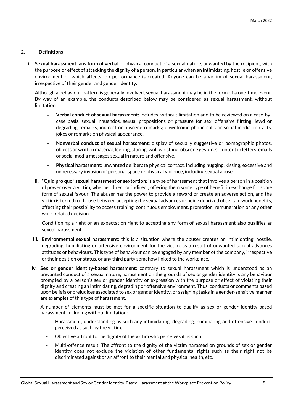# <span id="page-4-0"></span>**2. Definitions**

**i. Sexual harassment**: any form of verbal or physical conduct of a sexual nature, unwanted by the recipient, with the purpose or effect of attacking the dignity of a person, in particular when an intimidating, hostile or offensive environment or which affects job performance is created. Anyone can be a victim of sexual harassment, irrespective of their gender and gender identity.

Although a behaviour pattern is generally involved, sexual harassment may be in the form of a one-time event. By way of an example, the conducts described below may be considered as sexual harassment, without limitation:

- **- Verbal conduct of sexual harassment**: includes, without limitation and to be reviewed on a case-bycase basis, sexual innuendos, sexual propositions or pressure for sex; offensive flirting; lewd or degrading remarks, indirect or obscene remarks; unwelcome phone calls or social media contacts, jokes or remarks on physical appearance.
- **- Nonverbal conduct of sexual harassment**: display of sexually suggestive or pornographic photos, objects or written material, leering, staring, wolf whistling, obscene gestures; content in letters, emails or social media messages sexual in nature and offensive.
- **- Physical harassment**: unwanted deliberate physical contact, including hugging, kissing, excessive and unnecessary invasion of personal space or physical violence, including sexual abuse.
- **ii. "Quid pro quo" sexual harassment or sextortion**: is a type of harassment that involves a person in a position of power over a victim, whether direct or indirect, offering them some type of benefit in exchange for some form of sexual favour. The abuser has the power to provide a reward or create an adverse action, and the victim is forced to choose between accepting the sexual advances or being deprived of certain work benefits, affecting their possibility to access training, continuous employment, promotion, remuneration or any other work-related decision.

Conditioning a right or an expectation right to accepting any form of sexual harassment also qualifies as sexual harassment.

- **iii. Environmental sexual harassment**: this is a situation where the abuser creates an intimidating, hostile, degrading, humiliating or offensive environment for the victim, as a result of unwanted sexual advances attitudes or behaviours. This type of behaviour can be engaged by any member of the company, irrespective or their position or status, or any third party somehow linked to the workplace.
- **iv. Sex or gender identity-based harassment**: contrary to sexual harassment which is understood as an unwanted conduct of a sexual nature, harassment on the grounds of sex or gender identity is any behaviour prompted by a person's sex or gender identity or expression with the purpose or effect of violating their dignity and creating an intimidating, degrading or offensive environment. Thus, conducts or comments based upon beliefs or prejudices associated to sex or gender identity, or assigning tasks in a gender-sensitive manner are examples of this type of harassment.

A number of elements must be met for a specific situation to qualify as sex or gender identity-based harassment, including without limitation:

- **-** Harassment, understanding as such any intimidating, degrading, humiliating and offensive conduct, perceived as such by the victim.
- **-** Objective affront to the dignity of the victim who perceives it as such.
- **-** Multi-offence result. The affront to the dignity of the victim harassed on grounds of sex or gender identity does not exclude the violation of other fundamental rights such as their right not be discriminated against or an affront to their mental and physical health, etc.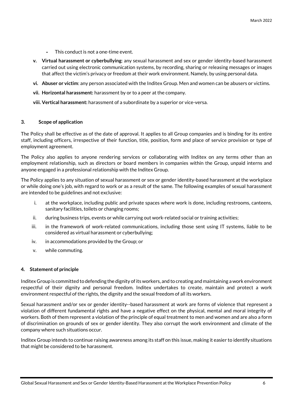- **-** This conduct is not a one-time event.
- **v. Virtual harassment or cyberbullying**: any sexual harassment and sex or gender identity-based harassment carried out using electronic communication systems, by recording, sharing or releasing messages or images that affect the victim's privacy or freedom at their work environment. Namely, by using personal data.
- **vi. Abuser or victim**: any person associated with the Inditex Group. Men and women can be abusers or victims.
- **vii. Horizontal harassment:** harassment by or to a peer at the company.
- **viii. Vertical harassment:** harassment of a subordinate by a superior or vice-versa.

#### <span id="page-5-0"></span>**3. Scope of application**

The Policy shall be effective as of the date of approval. It applies to all Group companies and is binding for its entire staff, including officers, irrespective of their function, title, position, form and place of service provision or type of employment agreement.

The Policy also applies to anyone rendering services or collaborating with Inditex on any terms other than an employment relationship, such as directors or board members in companies within the Group, unpaid interns and anyone engaged in a professional relationship with the Inditex Group.

The Policy applies to any situation of sexual harassment or sex or gender identity-based harassment at the workplace or while doing one's job, with regard to work or as a result of the same. The following examples of sexual harassment are intended to be guidelines and not exclusive:

- i. at the workplace, including public and private spaces where work is done, including restrooms, canteens, sanitary facilities, toilets or changing rooms;
- ii. during business trips, events or while carrying out work-related social or training activities;
- iii. in the framework of work-related communications, including those sent using IT systems, liable to be considered as virtual harassment or cyberbullying;
- iv. in accommodations provided by the Group; or
- v. while commuting.

#### <span id="page-5-1"></span>**4. Statement of principle**

Inditex Group is committed to defending the dignity of its workers, and to creating and maintaining a work environment respectful of their dignity and personal freedom. Inditex undertakes to create, maintain and protect a work environment respectful of the rights, the dignity and the sexual freedom of all its workers.

Sexual harassment and/or sex or gender identity--based harassment at work are forms of violence that represent a violation of different fundamental rights and have a negative effect on the physical, mental and moral integrity of workers. Both of them represent a violation of the principle of equal treatment to men and women and are also a form of discrimination on grounds of sex or gender identity. They also corrupt the work environment and climate of the company where such situations occur.

Inditex Group intends to continue raising awareness among its staff on this issue, making it easier to identify situations that might be considered to be harassment.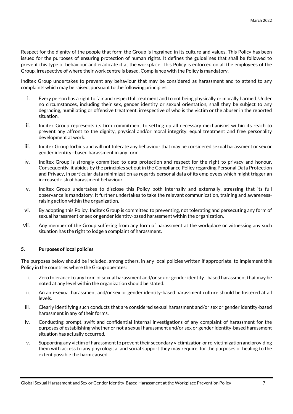Respect for the dignity of the people that form the Group is ingrained in its culture and values. This Policy has been issued for the purposes of ensuring protection of human rights. It defines the guidelines that shall be followed to prevent this type of behaviour and eradicate it at the workplace. This Policy is enforced on all the employees of the Group, irrespective of where their work centre is based. Compliance with the Policy is mandatory.

Inditex Group undertakes to prevent any behaviour that may be considered as harassment and to attend to any complaints which may be raised, pursuant to the following principles:

- i. Every person has a right to fair and respectful treatment and to not being physically or morally harmed. Under no circumstances, including their sex, gender identity or sexual orientation, shall they be subject to any degrading, humiliating or offensive treatment, irrespective of who is the victim or the abuser in the reported situation.
- ii. Inditex Group represents its firm commitment to setting up all necessary mechanisms within its reach to prevent any affront to the dignity, physical and/or moral integrity, equal treatment and free personality development at work.
- iii. Inditex Group forbids and will not tolerate any behaviour that may be considered sexual harassment or sex or gender identity--based harassment in any form.
- iv. Inditex Group is strongly committed to data protection and respect for the right to privacy and honour. Consequently, it abides by the principles set out in the Compliance Policy regarding Personal Data Protection and Privacy, in particular data minimization as regards personal data of its employees which might trigger an increased risk of harassment behaviour.
- v. Inditex Group undertakes to disclose this Policy both internally and externally, stressing that its full observance is mandatory. It further undertakes to take the relevant communication, training and awarenessraising action within the organization.
- vi. By adopting this Policy, Inditex Group is committed to preventing, not tolerating and persecuting any form of sexual harassment or sex or gender identity-based harassment within the organization.
- vii. Any member of the Group suffering from any form of harassment at the workplace or witnessing any such situation has the right to lodge a complaint of harassment.

## <span id="page-6-0"></span>**5. Purposes of local policies**

The purposes below should be included, among others, in any local policies written if appropriate, to implement this Policy in the countries where the Group operates:

- i. Zero tolerance to any form of sexual harassment and/or sex or gender identity--based harassment that may be noted at any level within the organization should be stated.
- ii. An anti-sexual harassment and/or sex or gender identity-based harassment culture should be fostered at all levels.
- iii. Clearly identifying such conducts that are considered sexual harassment and/or sex or gender identity-based harassment in any of their forms.
- iv. Conducting prompt, swift and confidential internal investigations of any complaint of harassment for the purposes of establishing whether or not a sexual harassment and/or sex or gender identity-based harassment situation has actually occurred.
- v. Supporting any victim of harassment to prevent their secondary victimization or re-victimization and providing them with access to any phycological and social support they may require, for the purposes of healing to the extent possible the harm caused.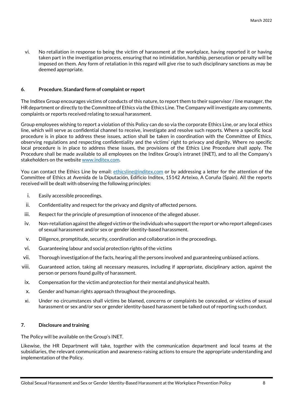vi. No retaliation in response to being the victim of harassment at the workplace, having reported it or having taken part in the investigation process, ensuring that no intimidation, hardship, persecution or penalty will be imposed on them. Any form of retaliation in this regard will give rise to such disciplinary sanctions as may be deemed appropriate.

# <span id="page-7-0"></span>**6. Procedure. Standard form of complaint or report**

The Inditex Group encourages victims of conducts of this nature, to report them to their supervisor / line manager, the HR department or directly to the Committee of Ethics via the Ethics Line. The Company will investigate any comments, complaints or reports received relating to sexual harassment.

Group employees wishing to report a violation of this Policy can do so via the corporate Ethics Line, or any local ethics line, which will serve as confidential channel to receive, investigate and resolve such reports. Where a specific local procedure is in place to address these issues, action shall be taken in coordination with the Committee of Ethics, observing regulations and respecting confidentiality and the victims' right to privacy and dignity. Where no specific local procedure is in place to address these issues, the provisions of the Ethics Line Procedure shall apply. The Procedure shall be made available to all employees on the Inditex Group's intranet (INET), and to all the Company's stakeholders on the website [www.inditex.com.](http://www.inditex.com/) 

You can contact the Ethics Line by email: [ethicsline@inditex.com](mailto:ethicsline@inditex.com) or by addressing a letter for the attention of the Committee of Ethics at Avenida de la Diputación, Edificio Inditex, 15142 Arteixo, A Coruña (Spain). All the reports received will be dealt with observing the following principles:

- i. Easily accessible proceedings.
- ii. Confidentiality and respect for the privacy and dignity of affected persons.
- iii. Respect for the principle of presumption of innocence of the alleged abuser.
- iv. Non-retaliation against the alleged victim or the individuals who support the report or who report alleged cases of sexual harassment and/or sex or gender identity-based harassment.
- v. Diligence, promptitude, security, coordination and collaboration in the proceedings.
- vi. Guaranteeing labour and social protection rights of the victims
- vii. Thorough investigation of the facts, hearing all the persons involved and guaranteeing unbiased actions.
- viii. Guaranteed action, taking all necessary measures, including if appropriate, disciplinary action, against the person or persons found guilty of harassment.
- ix. Compensation for the victim and protection for their mental and physical health.
- x. Gender and human rights approach throughout the proceedings.
- xi. Under no circumstances shall victims be blamed, concerns or complaints be concealed, or victims of sexual harassment or sex and/or sex or gender identity-based harassment be talked out of reporting such conduct.

# <span id="page-7-1"></span>**7. Disclosure and training**

The Policy will be available on the Group's INET.

Likewise, the HR Department will take, together with the communication department and local teams at the subsidiaries, the relevant communication and awareness-raising actions to ensure the appropriate understanding and implementation of the Policy.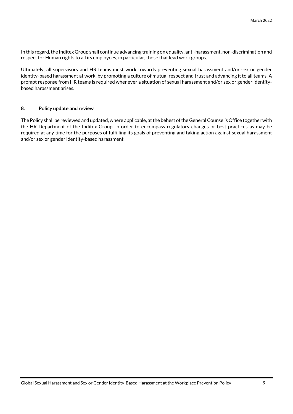In this regard, the Inditex Group shall continue advancing training on equality, anti-harassment, non-discrimination and respect for Human rights to all its employees, in particular, those that lead work groups.

Ultimately, all supervisors and HR teams must work towards preventing sexual harassment and/or sex or gender identity-based harassment at work, by promoting a culture of mutual respect and trust and advancing it to all teams. A prompt response from HR teams is required whenever a situation of sexual harassment and/or sex or gender identitybased harassment arises.

## <span id="page-8-0"></span>**8. Policy update and review**

The Policy shall be reviewed and updated, where applicable, at the behest of the General Counsel's Office together with the HR Department of the Inditex Group, in order to encompass regulatory changes or best practices as may be required at any time for the purposes of fulfilling its goals of preventing and taking action against sexual harassment and/or sex or gender identity-based harassment.